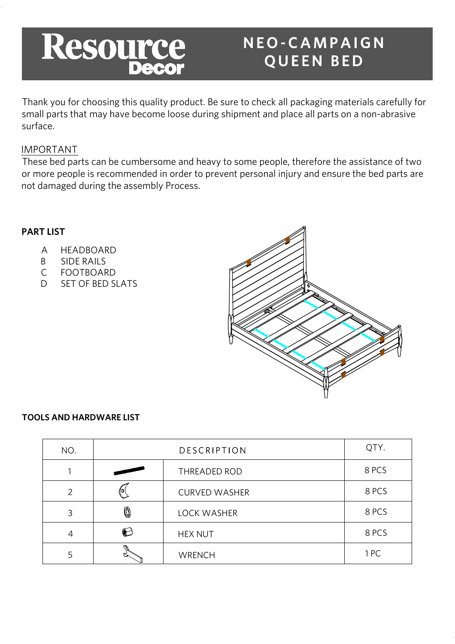

# NEO-CAMPAIGN **QUEEN BED**

Thank you for choosing this quality product. Be sure to check all packaging materials carefully for small parts that may have become loose during shipment and place all parts on a non-abrasive surface.

# IMPORTANT

These bed parts can be cumbersome and heavy to some people, therefore the assistance of two or more people is recommended in order to prevent personal injury and ensure the bed parts are not damaged during the assembly Process.

### **PART LIST**

- A HEADBOARD
- B SIDE RAILS
- C FOOTBOARD
- D SET OF BED SLATS



### **TOOLS AND HARDWARE LIST**

| NO. |                                 | DESCRIPTION          | QTY.  |
|-----|---------------------------------|----------------------|-------|
|     | <b>THE REAL PROPERTY AND IN</b> | THREADED ROD         | 8 PCS |
| っ   |                                 | <b>CURVED WASHER</b> | 8 PCS |
| 3   | Q                               | LOCK WASHER          | 8 PCS |
| 4   | ()                              | <b>HEX NUT</b>       | 8 PCS |
|     |                                 | <b>WRENCH</b>        | 1PC   |